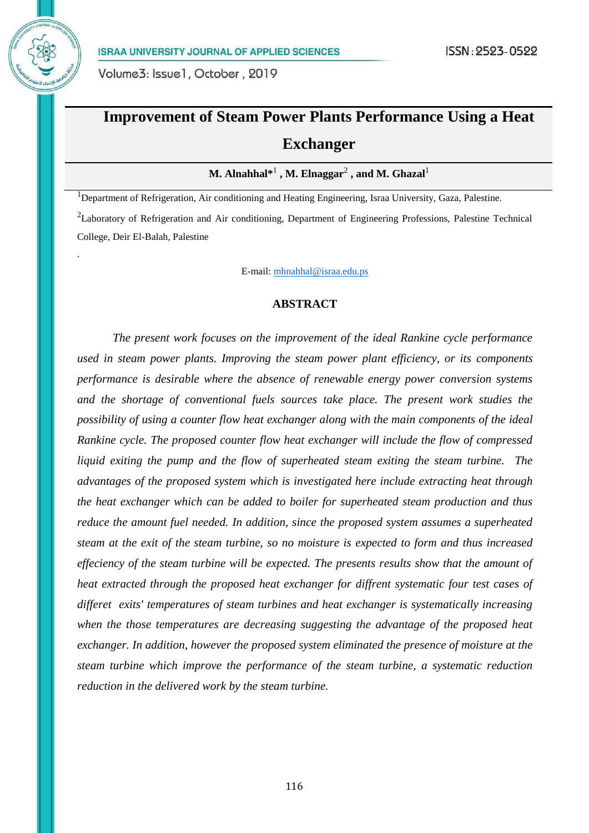

.

# **Improvement of Steam Power Plants Performance Using a Heat Exchanger**

 $\mathbf{M}.$  Alnahhal $^{*1}$  ,  $\mathbf{M}.$  Elnaggar $^2$  , and  $\mathbf{M}.$  Ghazal $^1$ 

<sup>1</sup>Department of Refrigeration, Air conditioning and Heating Engineering, Israa University, Gaza, Palestine. <sup>2</sup>Laboratory of Refrigeration and Air conditioning, Department of Engineering Professions, Palestine Technical College, Deir El-Balah, Palestine

E-mail[: mhnahhal@israa.edu.ps](mailto:mhnahhal@israa.edu.ps)

#### **ABSTRACT**

 *The present work focuses on the improvement of the ideal Rankine cycle performance used in steam power plants. Improving the steam power plant efficiency, or its components performance is desirable where the absence of renewable energy power conversion systems and the shortage of conventional fuels sources take place. The present work studies the possibility of using a counter flow heat exchanger along with the main components of the ideal Rankine cycle. The proposed counter flow heat exchanger will include the flow of compressed liquid exiting the pump and the flow of superheated steam exiting the steam turbine. The advantages of the proposed system which is investigated here include extracting heat through the heat exchanger which can be added to boiler for superheated steam production and thus reduce the amount fuel needed. In addition, since the proposed system assumes a superheated steam at the exit of the steam turbine, so no moisture is expected to form and thus increased effeciency of the steam turbine will be expected. The presents results show that the amount of heat extracted through the proposed heat exchanger for diffrent systematic four test cases of differet exits' temperatures of steam turbines and heat exchanger is systematically increasing when the those temperatures are decreasing suggesting the advantage of the proposed heat exchanger. In addition, however the proposed system eliminated the presence of moisture at the steam turbine which improve the performance of the steam turbine, a systematic reduction reduction in the delivered work by the steam turbine.*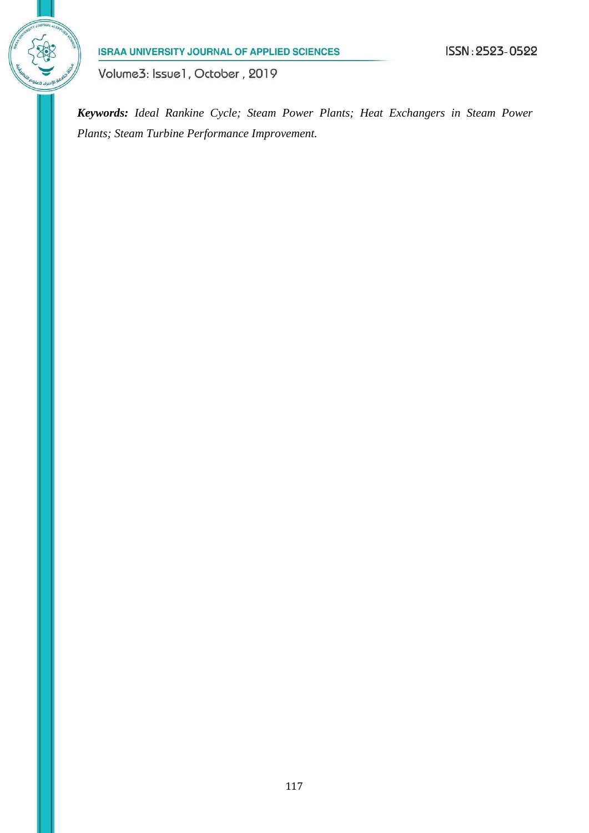

Volume3: Issue1, October, 2019

*Keywords: Ideal Rankine Cycle; Steam Power Plants; Heat Exchangers in Steam Power Plants; Steam Turbine Performance Improvement.*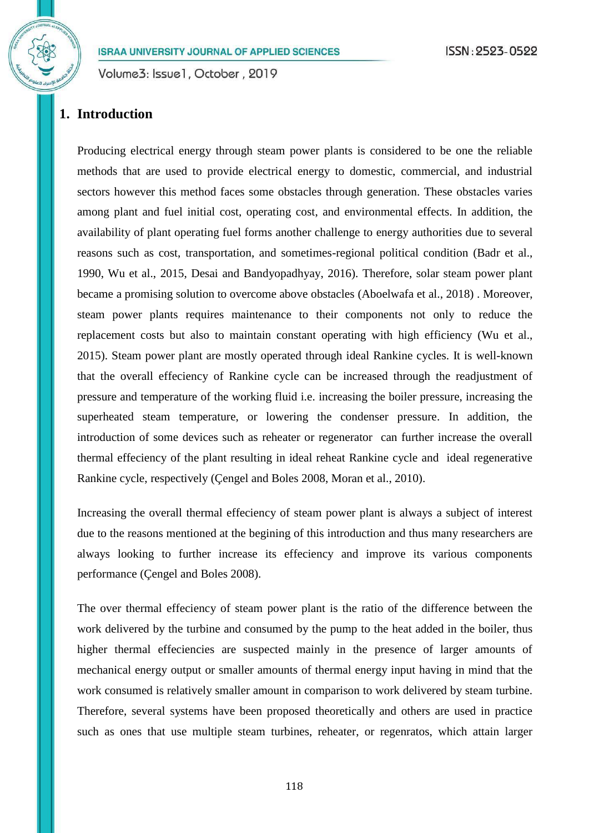Volume3: Issue1, October, 2019

# **1. Introduction**

Producing electrical energy through steam power plants is considered to be one the reliable methods that are used to provide electrical energy to domestic, commercial, and industrial sectors however this method faces some obstacles through generation. These obstacles varies among plant and fuel initial cost, operating cost, and environmental effects. In addition, the availability of plant operating fuel forms another challenge to energy authorities due to several reasons such as cost, transportation, and sometimes-regional political condition (Badr et al., 1990, Wu et al., 2015, Desai and Bandyopadhyay, 2016). Therefore, solar steam power plant became a promising solution to overcome above obstacles (Aboelwafa et al., 2018) . Moreover, steam power plants requires maintenance to their components not only to reduce the replacement costs but also to maintain constant operating with high efficiency (Wu et al., 2015). Steam power plant are mostly operated through ideal Rankine cycles. It is well-known that the overall effeciency of Rankine cycle can be increased through the readjustment of pressure and temperature of the working fluid i.e. increasing the boiler pressure, increasing the superheated steam temperature, or lowering the condenser pressure. In addition, the introduction of some devices such as reheater or regenerator can further increase the overall thermal effeciency of the plant resulting in ideal reheat Rankine cycle and ideal regenerative Rankine cycle, respectively (Çengel and Boles 2008, Moran et al., 2010).

Increasing the overall thermal effeciency of steam power plant is always a subject of interest due to the reasons mentioned at the begining of this introduction and thus many researchers are always looking to further increase its effeciency and improve its various components performance (Çengel and Boles 2008).

The over thermal effeciency of steam power plant is the ratio of the difference between the work delivered by the turbine and consumed by the pump to the heat added in the boiler, thus higher thermal effeciencies are suspected mainly in the presence of larger amounts of mechanical energy output or smaller amounts of thermal energy input having in mind that the work consumed is relatively smaller amount in comparison to work delivered by steam turbine. Therefore, several systems have been proposed theoretically and others are used in practice such as ones that use multiple steam turbines, reheater, or regenratos, which attain larger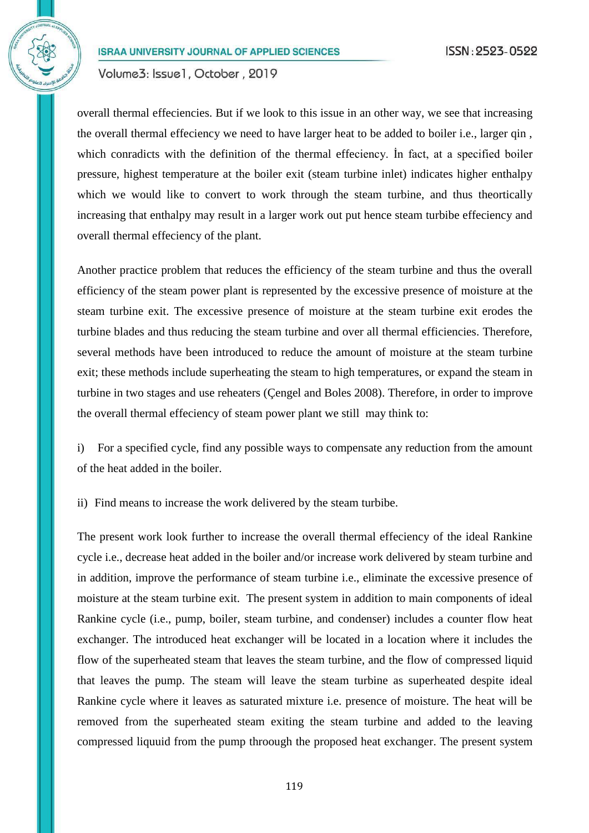Volume3: Issue1, October, 2019

overall thermal effeciencies. But if we look to this issue in an other way, we see that increasing the overall thermal effeciency we need to have larger heat to be added to boiler i.e., larger qin , which conradicts with the definition of the thermal effeciency. In fact, at a specified boiler pressure, highest temperature at the boiler exit (steam turbine inlet) indicates higher enthalpy which we would like to convert to work through the steam turbine, and thus theortically increasing that enthalpy may result in a larger work out put hence steam turbibe effeciency and overall thermal effeciency of the plant.

Another practice problem that reduces the efficiency of the steam turbine and thus the overall efficiency of the steam power plant is represented by the excessive presence of moisture at the steam turbine exit. The excessive presence of moisture at the steam turbine exit erodes the turbine blades and thus reducing the steam turbine and over all thermal efficiencies. Therefore, several methods have been introduced to reduce the amount of moisture at the steam turbine exit; these methods include superheating the steam to high temperatures, or expand the steam in turbine in two stages and use reheaters (Çengel and Boles 2008). Therefore, in order to improve the overall thermal effeciency of steam power plant we still may think to:

i) For a specified cycle, find any possible ways to compensate any reduction from the amount of the heat added in the boiler.

ii) Find means to increase the work delivered by the steam turbibe.

The present work look further to increase the overall thermal effeciency of the ideal Rankine cycle i.e., decrease heat added in the boiler and/or increase work delivered by steam turbine and in addition, improve the performance of steam turbine i.e., eliminate the excessive presence of moisture at the steam turbine exit. The present system in addition to main components of ideal Rankine cycle (i.e., pump, boiler, steam turbine, and condenser) includes a counter flow heat exchanger. The introduced heat exchanger will be located in a location where it includes the flow of the superheated steam that leaves the steam turbine, and the flow of compressed liquid that leaves the pump. The steam will leave the steam turbine as superheated despite ideal Rankine cycle where it leaves as saturated mixture i.e. presence of moisture. The heat will be removed from the superheated steam exiting the steam turbine and added to the leaving compressed liquuid from the pump throough the proposed heat exchanger. The present system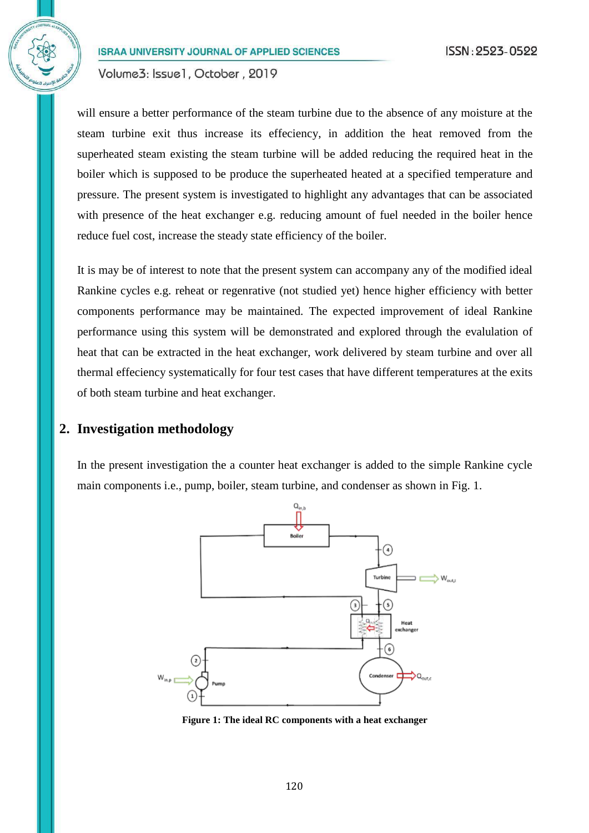Volume3: Issue1, October, 2019

will ensure a better performance of the steam turbine due to the absence of any moisture at the steam turbine exit thus increase its effeciency, in addition the heat removed from the superheated steam existing the steam turbine will be added reducing the required heat in the boiler which is supposed to be produce the superheated heated at a specified temperature and pressure. The present system is investigated to highlight any advantages that can be associated with presence of the heat exchanger e.g. reducing amount of fuel needed in the boiler hence reduce fuel cost, increase the steady state efficiency of the boiler.

It is may be of interest to note that the present system can accompany any of the modified ideal Rankine cycles e.g. reheat or regenrative (not studied yet) hence higher efficiency with better components performance may be maintained. The expected improvement of ideal Rankine performance using this system will be demonstrated and explored through the evalulation of heat that can be extracted in the heat exchanger, work delivered by steam turbine and over all thermal effeciency systematically for four test cases that have different temperatures at the exits of both steam turbine and heat exchanger.

### **2. Investigation methodology**

In the present investigation the a counter heat exchanger is added to the simple Rankine cycle main components i.e., pump, boiler, steam turbine, and condenser as shown in Fig. 1.



**Figure 1: The ideal RC components with a heat exchanger**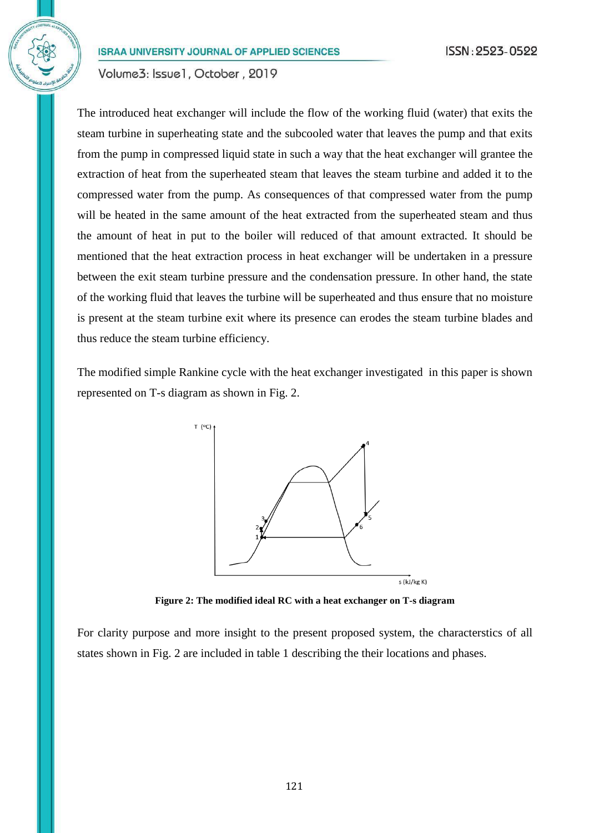Volume3: Issue1, October, 2019

The introduced heat exchanger will include the flow of the working fluid (water) that exits the steam turbine in superheating state and the subcooled water that leaves the pump and that exits from the pump in compressed liquid state in such a way that the heat exchanger will grantee the extraction of heat from the superheated steam that leaves the steam turbine and added it to the compressed water from the pump. As consequences of that compressed water from the pump will be heated in the same amount of the heat extracted from the superheated steam and thus the amount of heat in put to the boiler will reduced of that amount extracted. It should be mentioned that the heat extraction process in heat exchanger will be undertaken in a pressure between the exit steam turbine pressure and the condensation pressure. In other hand, the state of the working fluid that leaves the turbine will be superheated and thus ensure that no moisture is present at the steam turbine exit where its presence can erodes the steam turbine blades and thus reduce the steam turbine efficiency.

The modified simple Rankine cycle with the heat exchanger investigated in this paper is shown represented on T-s diagram as shown in Fig. 2.



**Figure 2: The modified ideal RC with a heat exchanger on T-s diagram**

For clarity purpose and more insight to the present proposed system, the characterstics of all states shown in Fig. 2 are included in table 1 describing the their locations and phases.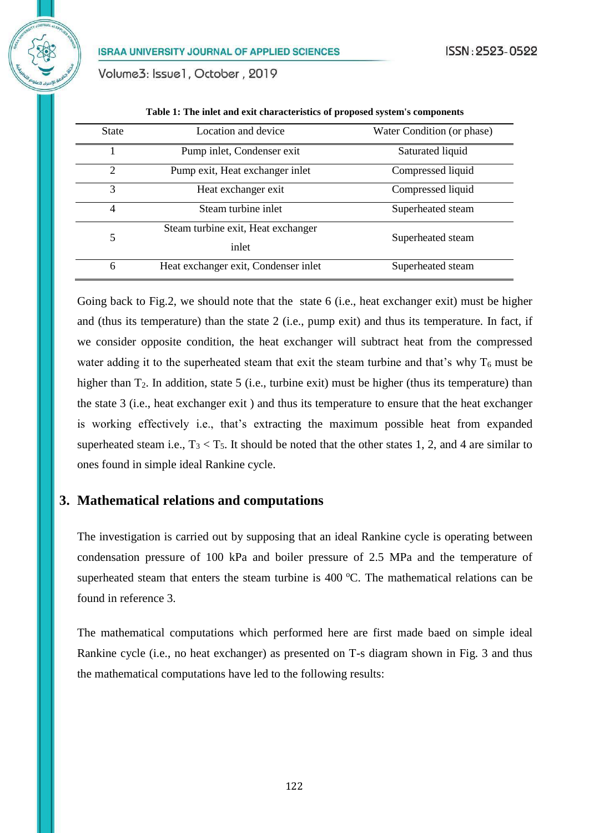Volume3: Issue1, October, 2019

| <b>State</b>   | Location and device                  | Water Condition (or phase) |
|----------------|--------------------------------------|----------------------------|
|                | Pump inlet, Condenser exit           | Saturated liquid           |
| $\overline{2}$ | Pump exit, Heat exchanger inlet      | Compressed liquid          |
| 3              | Heat exchanger exit                  | Compressed liquid          |
| $\overline{4}$ | Steam turbine inlet                  | Superheated steam          |
| 5              | Steam turbine exit, Heat exchanger   | Superheated steam          |
|                | inlet                                |                            |
| 6              | Heat exchanger exit, Condenser inlet | Superheated steam          |

**Table 1: The inlet and exit characteristics of proposed system's components**

Going back to Fig.2, we should note that the state 6 (i.e., heat exchanger exit) must be higher and (thus its temperature) than the state 2 (i.e., pump exit) and thus its temperature. In fact, if we consider opposite condition, the heat exchanger will subtract heat from the compressed water adding it to the superheated steam that exit the steam turbine and that's why  $T_6$  must be higher than T<sub>2</sub>. In addition, state 5 (i.e., turbine exit) must be higher (thus its temperature) than the state 3 (i.e., heat exchanger exit ) and thus its temperature to ensure that the heat exchanger is working effectively i.e., that's extracting the maximum possible heat from expanded superheated steam i.e.,  $T_3 < T_5$ . It should be noted that the other states 1, 2, and 4 are similar to ones found in simple ideal Rankine cycle.

#### **3. Mathematical relations and computations**

The investigation is carried out by supposing that an ideal Rankine cycle is operating between condensation pressure of 100 kPa and boiler pressure of 2.5 MPa and the temperature of superheated steam that enters the steam turbine is  $400\,^{\circ}\text{C}$ . The mathematical relations can be found in reference 3.

The mathematical computations which performed here are first made baed on simple ideal Rankine cycle (i.e., no heat exchanger) as presented on T-s diagram shown in Fig. 3 and thus the mathematical computations have led to the following results: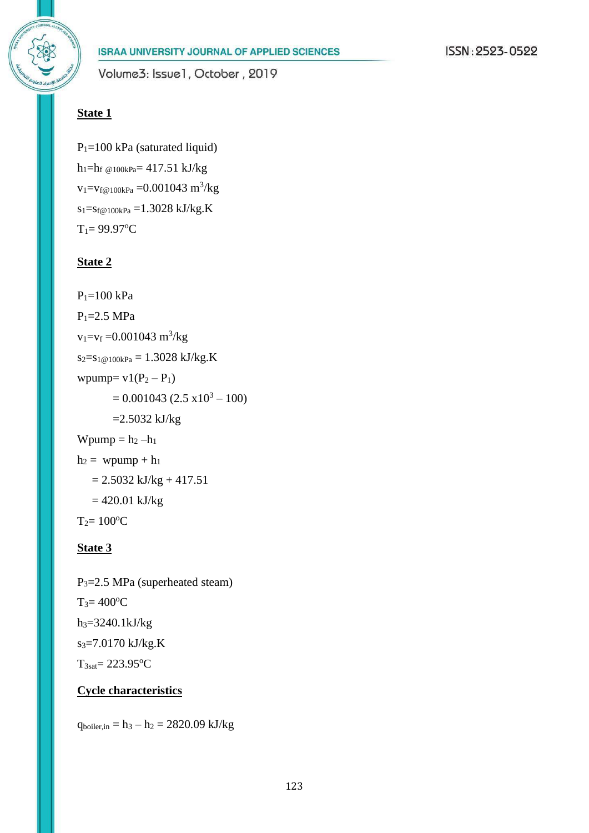

 $P_1=100$  kPa (saturated liquid)  $h_1=h_f$  @100kPa= 417.51 kJ/kg  $v_1 = v_{f@100kPa} = 0.001043 \text{ m}^3/\text{kg}$  $s_1 = s_f \omega_1 00kPa = 1.3028 kJ/kg.K$  $T_1 = 99.97$ <sup>o</sup>C

# **State 2**

 $P_1 = 100$  kPa  $P_1 = 2.5 MPa$  $v_1 = v_f = 0.001043 \text{ m}^3/\text{kg}$  $s_2 = s_1 \omega_1 00kPa = 1.3028 kJ/kg.K$ wpump=  $v1(P_2 - P_1)$  $= 0.001043 (2.5 \times 10^3 - 100)$  $=2.5032$  kJ/kg Wpump  $= h_2 - h_1$  $h_2$  = wpump +  $h_1$  $= 2.5032$  kJ/kg + 417.51  $= 420.01$  kJ/kg  $T_2 = 100$ <sup>o</sup>C

# **State 3**

P3=2.5 MPa (superheated steam)  $T_3 = 400$ <sup>o</sup>C h3=3240.1kJ/kg s3=7.0170 kJ/kg.K  $T_{3sat} = 223.95$ <sup>o</sup>C

# **Cycle characteristics**

 $q_{boiler,in} = h_3 - h_2 = 2820.09 \text{ kJ/kg}$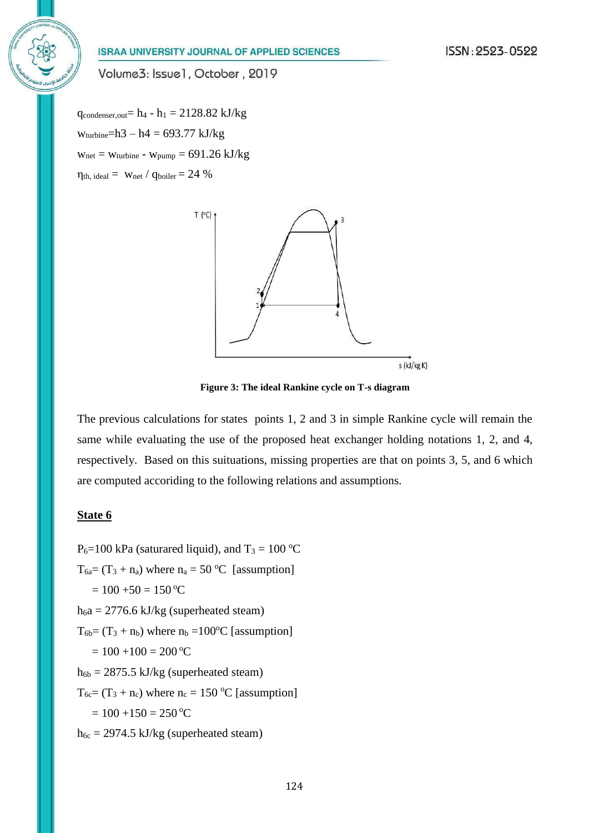Volume3: Issue1, October, 2019

 $q_{condenser,out} = h_4 - h_1 = 2128.82 \text{ kJ/kg}$  $w_{turbine} = h3 - h4 = 693.77 \text{ kJ/kg}$  $w_{net} = w_{turbine} - w_{pump} = 691.26 \text{ kJ/kg}$  $\eta_{th, ideal} = w_{net} / q_{boiler} = 24 \%$ 



**Figure 3: The ideal Rankine cycle on T-s diagram**

The previous calculations for states points 1, 2 and 3 in simple Rankine cycle will remain the same while evaluating the use of the proposed heat exchanger holding notations 1, 2, and 4, respectively. Based on this suituations, missing properties are that on points 3, 5, and 6 which are computed accoriding to the following relations and assumptions.

#### **State 6**

 $P_6=100$  kPa (saturared liquid), and  $T_3 = 100$  °C  $T_{6a} = (T_3 + n_a)$  where  $n_a = 50$  °C [assumption]  $= 100 + 50 = 150$  °C  $h<sub>6</sub>a = 2776.6$  kJ/kg (superheated steam)  $T_{6b} = (T_3 + n_b)$  where  $n_b = 100$ <sup>o</sup>C [assumption]  $= 100 + 100 = 200$  °C  $h_{6b} = 2875.5$  kJ/kg (superheated steam)  $T_{6c} = (T_3 + n_c)$  where  $n_c = 150$  °C [assumption]  $= 100 + 150 = 250$  °C  $h_{6c} = 2974.5$  kJ/kg (superheated steam)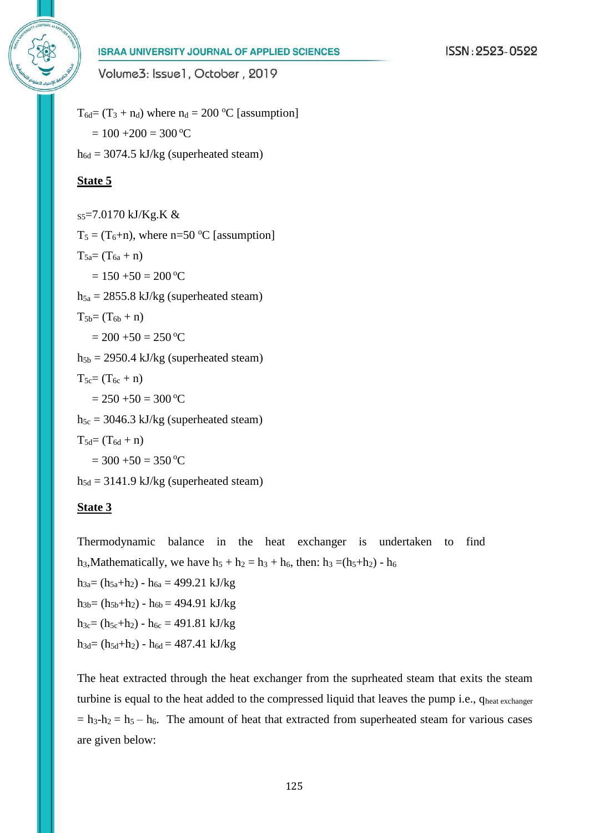

Volume3: Issue1, October, 2019

 $T_{6d} = (T_3 + n_d)$  where  $n_d = 200$  °C [assumption]  $= 100 + 200 = 300$  °C  $h_{6d} = 3074.5$  kJ/kg (superheated steam) **State 5** S5=7.0170 kJ/Kg.K &  $T_5 = (T_6 + n)$ , where n=50 °C [assumption]  $T_{5a} = (T_{6a} + n)$  $= 150 + 50 = 200$  °C  $h_{5a} = 2855.8$  kJ/kg (superheated steam)  $T_{5b}=(T_{6b}+n)$  $= 200 + 50 = 250$  °C  $h_{5b} = 2950.4$  kJ/kg (superheated steam)  $T_{5c} = (T_{6c} + n)$  $= 250 + 50 = 300$  °C  $h_{5c} = 3046.3$  kJ/kg (superheated steam)  $T_{5d} = (T_{6d} + n)$  $= 300 + 50 = 350$  °C  $h_{5d} = 3141.9$  kJ/kg (superheated steam)

#### **State 3**

Thermodynamic balance in the heat exchanger is undertaken to find h<sub>3</sub>,Mathematically, we have  $h_5 + h_2 = h_3 + h_6$ , then:  $h_3 = (h_5 + h_2) - h_6$  $h_{3a}=(h_{5a}+h_2)-h_{6a}=499.21 \text{ kJ/kg}$  $h_{3b}=(h_{5b}+h_2) - h_{6b} = 494.91 \text{ kJ/kg}$  $h_{3c} = (h_{5c} + h_2) - h_{6c} = 491.81 \text{ kJ/kg}$  $h_{3d}=(h_{5d}+h_2) - h_{6d} = 487.41 \text{ kJ/kg}$ 

The heat extracted through the heat exchanger from the suprheated steam that exits the steam turbine is equal to the heat added to the compressed liquid that leaves the pump i.e., qheat exchanger  $= h_3-h_2 = h_5 - h_6$ . The amount of heat that extracted from superheated steam for various cases are given below: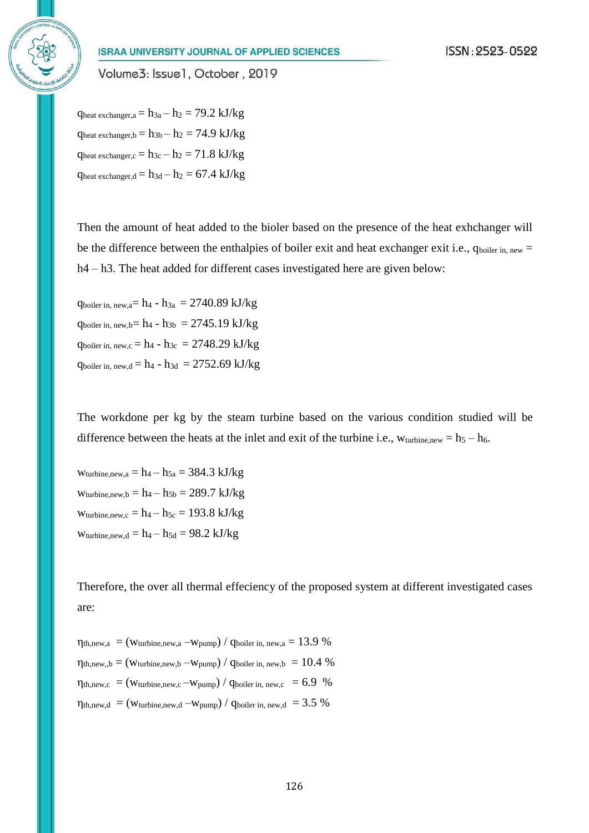Volume3: Issue1, October, 2019

 $q_{heat\ exchange, a} = h_{3a} - h_2 = 79.2 \text{ kJ/kg}$  $q_{heat\ exchange r,b} = h_{3b} - h_2 = 74.9 \text{ kJ/kg}$  $q_{heat\ exchange, c} = h_{3c} - h_2 = 71.8 \text{ kJ/kg}$  $q_{heat\ exchange, d} = h_{3d} - h_2 = 67.4 \ kJ/kg$ 

Then the amount of heat added to the bioler based on the presence of the heat exhchanger will be the difference between the enthalpies of boiler exit and heat exchanger exit i.e.,  $q_{\text{boiler in, new}} =$ h4 – h3. The heat added for different cases investigated here are given below:

 $q_{boiler\,in, new,a} = h_4 - h_{3a} = 2740.89 \text{ kJ/kg}$  $q_{boiler\ in.\ new.b} = h_4 - h_{3b} = 2745.19 \ kJ/kg$  $q_{boiler\,in, new,c} = h_4 - h_{3c} = 2748.29 \text{ kJ/kg}$  $q_{boiler\,in,\,new,d} = h_4 - h_{3d} = 2752.69\ kJ/kg$ 

The workdone per kg by the steam turbine based on the various condition studied will be difference between the heats at the inlet and exit of the turbine i.e.,  $w_{\text{turbine,new}} = h_5 - h_6$ .

Wturbine,new, $a = h_4 - h_{5a} = 384.3 \text{ kJ/kg}$ Wturbine,new, $b = h_4 - h_{5b} = 289.7 \text{ kJ/kg}$  $w_{turbine,new,c} = h_4 - h_{5c} = 193.8 \text{ kJ/kg}$  $w_{turbine,new,d} = h_4 - h_{5d} = 98.2 \text{ kJ/kg}$ 

Therefore, the over all thermal effeciency of the proposed system at different investigated cases are:

 $\eta_{th,new,a} = (w_{turbine,new,a} - w_{pump}) / q_{boiler\,in, new,a} = 13.9 \%$  $\eta_{th,new,b} = (w_{turbine,new,b} - w_{pump}) / q_{boiler\,in,new,b} = 10.4 \%$  $\eta_{th,new,c} = (w_{turbine,new,c} - w_{pump}) / q_{boiler\,in, new,c} = 6.9 %$  $\eta_{th,new,d} = (W_{turbine,new,d} - W_{pump}) / Q_{boiler\,in,new,d} = 3.5\%$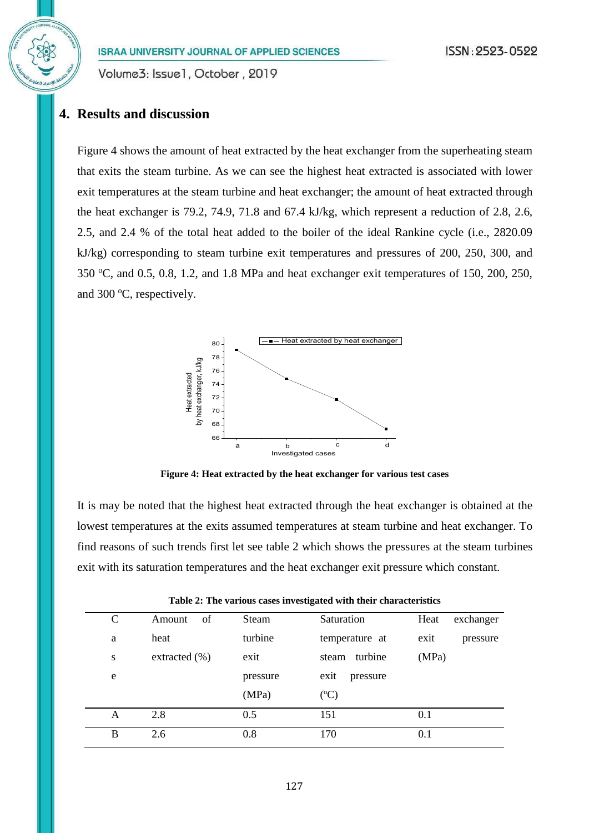Volume3: Issue1, October, 2019

# **4. Results and discussion**

Figure 4 shows the amount of heat extracted by the heat exchanger from the superheating steam that exits the steam turbine. As we can see the highest heat extracted is associated with lower exit temperatures at the steam turbine and heat exchanger; the amount of heat extracted through the heat exchanger is 79.2, 74.9, 71.8 and 67.4 kJ/kg, which represent a reduction of 2.8, 2.6, 2.5, and 2.4 % of the total heat added to the boiler of the ideal Rankine cycle (i.e., 2820.09 kJ/kg) corresponding to steam turbine exit temperatures and pressures of 200, 250, 300, and 350 °C, and 0.5, 0.8, 1.2, and 1.8 MPa and heat exchanger exit temperatures of 150, 200, 250, and 300 $\degree$ C, respectively.



**Figure 4: Heat extracted by the heat exchanger for various test cases**

It is may be noted that the highest heat extracted through the heat exchanger is obtained at the lowest temperatures at the exits assumed temperatures at steam turbine and heat exchanger. To find reasons of such trends first let see table 2 which shows the pressures at the steam turbines exit with its saturation temperatures and the heat exchanger exit pressure which constant.

| C | of<br>Amount      | Steam    | Saturation       | Heat<br>exchanger |
|---|-------------------|----------|------------------|-------------------|
| a | heat              | turbine  | temperature at   | exit<br>pressure  |
| S | extracted $(\% )$ | exit     | steam turbine    | (MPa)             |
| e |                   | pressure | exit<br>pressure |                   |
|   |                   | (MPa)    | $({}^{\circ}C)$  |                   |
| Α | 2.8               | 0.5      | 151              | 0.1               |
| B | 2.6               | 0.8      | 170              | 0.1               |

|  |  |  |  |  | Table 2: The various cases investigated with their characteristics |
|--|--|--|--|--|--------------------------------------------------------------------|
|--|--|--|--|--|--------------------------------------------------------------------|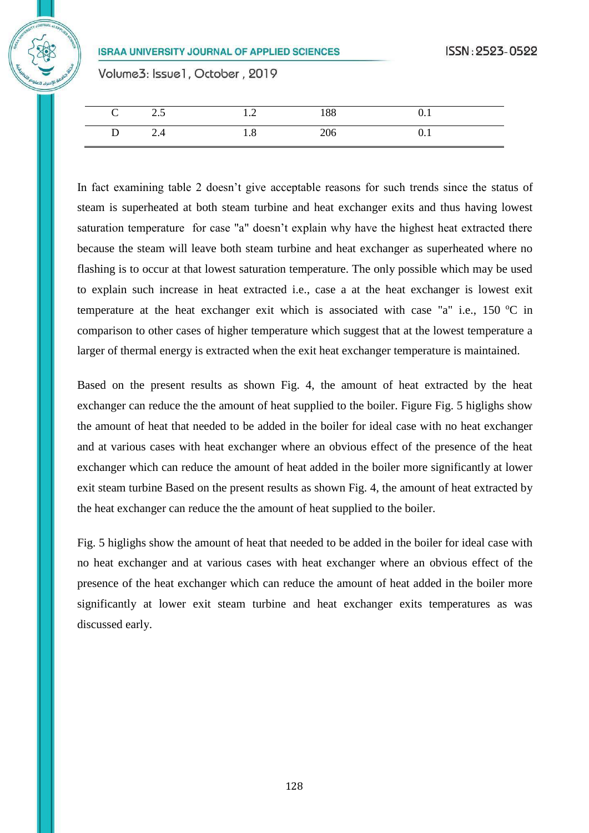Volume3: Issue1, October, 2019

| $\mathbf{C}$ | 2.5 | 1.2 | 188 | U.I |  |
|--------------|-----|-----|-----|-----|--|
| D            | 4.4 | 1.8 | 206 | U.I |  |

In fact examining table 2 doesn't give acceptable reasons for such trends since the status of steam is superheated at both steam turbine and heat exchanger exits and thus having lowest saturation temperature for case "a" doesn't explain why have the highest heat extracted there because the steam will leave both steam turbine and heat exchanger as superheated where no flashing is to occur at that lowest saturation temperature. The only possible which may be used to explain such increase in heat extracted i.e., case a at the heat exchanger is lowest exit temperature at the heat exchanger exit which is associated with case "a" i.e., 150  $^{\circ}$ C in comparison to other cases of higher temperature which suggest that at the lowest temperature a larger of thermal energy is extracted when the exit heat exchanger temperature is maintained.

Based on the present results as shown Fig. 4, the amount of heat extracted by the heat exchanger can reduce the the amount of heat supplied to the boiler. Figure Fig. 5 higlighs show the amount of heat that needed to be added in the boiler for ideal case with no heat exchanger and at various cases with heat exchanger where an obvious effect of the presence of the heat exchanger which can reduce the amount of heat added in the boiler more significantly at lower exit steam turbine Based on the present results as shown Fig. 4, the amount of heat extracted by the heat exchanger can reduce the the amount of heat supplied to the boiler.

Fig. 5 higlighs show the amount of heat that needed to be added in the boiler for ideal case with no heat exchanger and at various cases with heat exchanger where an obvious effect of the presence of the heat exchanger which can reduce the amount of heat added in the boiler more significantly at lower exit steam turbine and heat exchanger exits temperatures as was discussed early.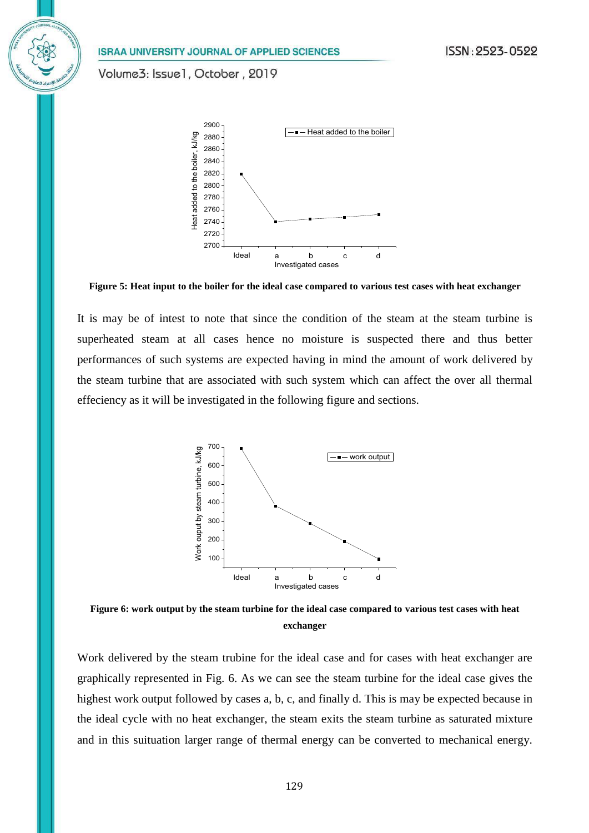Volume3: Issue1, October, 2019



**Figure 5: Heat input to the boiler for the ideal case compared to various test cases with heat exchanger**

It is may be of intest to note that since the condition of the steam at the steam turbine is superheated steam at all cases hence no moisture is suspected there and thus better performances of such systems are expected having in mind the amount of work delivered by the steam turbine that are associated with such system which can affect the over all thermal effeciency as it will be investigated in the following figure and sections.



**Figure 6: work output by the steam turbine for the ideal case compared to various test cases with heat exchanger**

Work delivered by the steam trubine for the ideal case and for cases with heat exchanger are graphically represented in Fig. 6. As we can see the steam turbine for the ideal case gives the highest work output followed by cases a, b, c, and finally d. This is may be expected because in the ideal cycle with no heat exchanger, the steam exits the steam turbine as saturated mixture and in this suituation larger range of thermal energy can be converted to mechanical energy.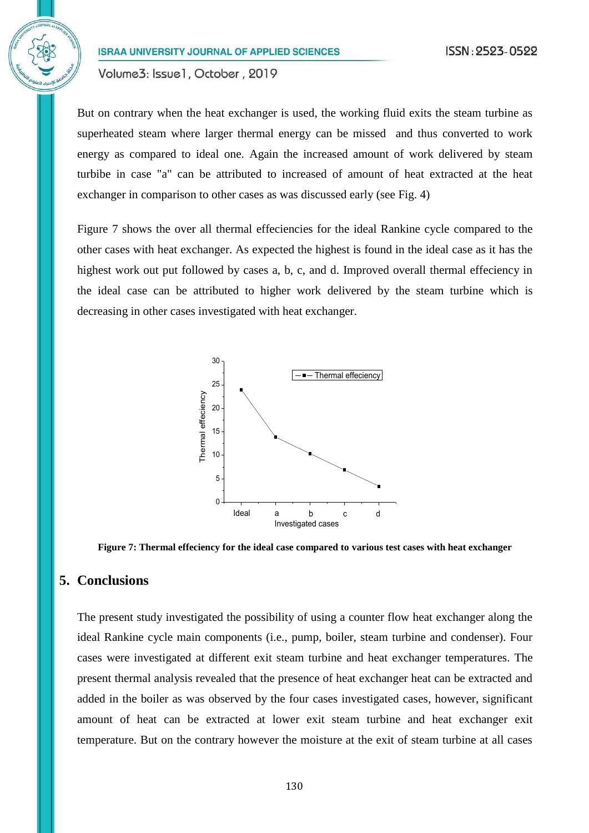Volume3: Issue1, October, 2019

But on contrary when the heat exchanger is used, the working fluid exits the steam turbine as superheated steam where larger thermal energy can be missed and thus converted to work energy as compared to ideal one. Again the increased amount of work delivered by steam turbibe in case "a" can be attributed to increased of amount of heat extracted at the heat exchanger in comparison to other cases as was discussed early (see Fig. 4)

Figure 7 shows the over all thermal effeciencies for the ideal Rankine cycle compared to the other cases with heat exchanger. As expected the highest is found in the ideal case as it has the highest work out put followed by cases a, b, c, and d. Improved overall thermal effeciency in the ideal case can be attributed to higher work delivered by the steam turbine which is decreasing in other cases investigated with heat exchanger.



**Figure 7: Thermal effeciency for the ideal case compared to various test cases with heat exchanger**

#### **5. Conclusions**

The present study investigated the possibility of using a counter flow heat exchanger along the ideal Rankine cycle main components (i.e., pump, boiler, steam turbine and condenser). Four cases were investigated at different exit steam turbine and heat exchanger temperatures. The present thermal analysis revealed that the presence of heat exchanger heat can be extracted and added in the boiler as was observed by the four cases investigated cases, however, significant amount of heat can be extracted at lower exit steam turbine and heat exchanger exit temperature. But on the contrary however the moisture at the exit of steam turbine at all cases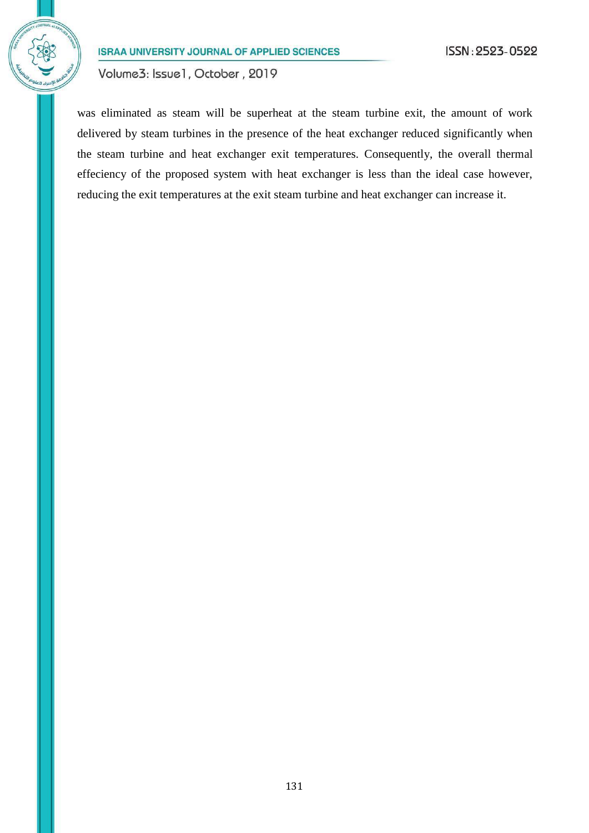Volume3: Issue1, October, 2019

was eliminated as steam will be superheat at the steam turbine exit, the amount of work delivered by steam turbines in the presence of the heat exchanger reduced significantly when the steam turbine and heat exchanger exit temperatures. Consequently, the overall thermal effeciency of the proposed system with heat exchanger is less than the ideal case however, reducing the exit temperatures at the exit steam turbine and heat exchanger can increase it.